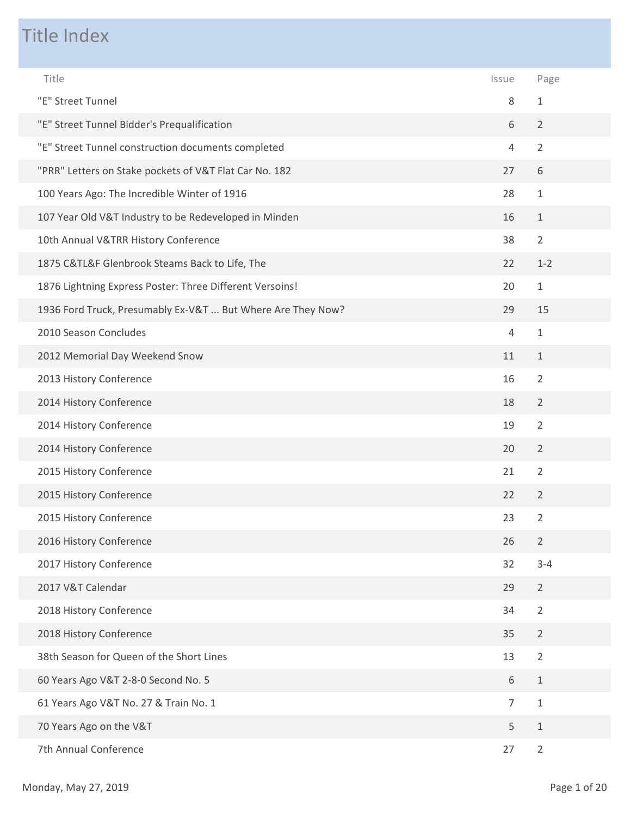## Title Index

| Title                                                       | Issue          | Page           |
|-------------------------------------------------------------|----------------|----------------|
| "E" Street Tunnel                                           | 8              | $\mathbf{1}$   |
| "E" Street Tunnel Bidder's Prequalification                 | 6              | $\overline{2}$ |
| "E" Street Tunnel construction documents completed          | $\overline{4}$ | $\overline{2}$ |
| "PRR" Letters on Stake pockets of V&T Flat Car No. 182      | 27             | 6              |
| 100 Years Ago: The Incredible Winter of 1916                | 28             | $\mathbf{1}$   |
| 107 Year Old V&T Industry to be Redeveloped in Minden       | 16             | $\mathbf{1}$   |
| 10th Annual V&TRR History Conference                        | 38             | $\overline{2}$ |
| 1875 C&TL&F Glenbrook Steams Back to Life, The              | 22             | $1 - 2$        |
| 1876 Lightning Express Poster: Three Different Versoins!    | 20             | $\mathbf 1$    |
| 1936 Ford Truck, Presumably Ex-V&T  But Where Are They Now? | 29             | 15             |
| 2010 Season Concludes                                       | $\overline{4}$ | $\mathbf{1}$   |
| 2012 Memorial Day Weekend Snow                              | 11             | $\mathbf{1}$   |
| 2013 History Conference                                     | 16             | $\overline{2}$ |
| 2014 History Conference                                     | 18             | $\overline{2}$ |
| 2014 History Conference                                     | 19             | $\overline{2}$ |
| 2014 History Conference                                     | 20             | $\overline{2}$ |
| 2015 History Conference                                     | 21             | $\overline{2}$ |
| 2015 History Conference                                     | 22             | $\overline{2}$ |
| 2015 History Conference                                     | 23             | $\overline{2}$ |
| 2016 History Conference                                     | 26             | $\overline{2}$ |
| 2017 History Conference                                     | 32             | $3 - 4$        |
| 2017 V&T Calendar                                           | 29             | $\overline{2}$ |
| 2018 History Conference                                     | 34             | $\overline{2}$ |
| 2018 History Conference                                     | 35             | $\overline{2}$ |
| 38th Season for Queen of the Short Lines                    | 13             | $\overline{2}$ |
| 60 Years Ago V&T 2-8-0 Second No. 5                         | 6              | $\mathbf{1}$   |
| 61 Years Ago V&T No. 27 & Train No. 1                       | $\overline{7}$ | $\mathbf 1$    |
| 70 Years Ago on the V&T                                     | 5              | $\mathbf{1}$   |
| 7th Annual Conference                                       | 27             | $\overline{2}$ |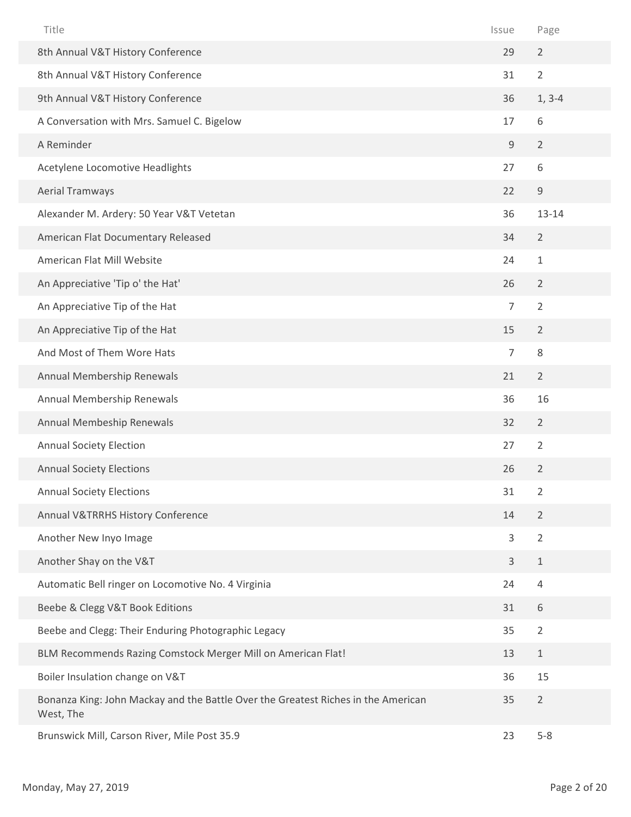| Title                                                                                          | Issue          | Page           |  |
|------------------------------------------------------------------------------------------------|----------------|----------------|--|
| 8th Annual V&T History Conference                                                              | 29             | $\overline{2}$ |  |
| 8th Annual V&T History Conference                                                              | 31             | $\overline{2}$ |  |
| 9th Annual V&T History Conference                                                              | 36             | $1, 3-4$       |  |
| A Conversation with Mrs. Samuel C. Bigelow                                                     | 17             | 6              |  |
| A Reminder                                                                                     | $\mathsf 9$    | $\overline{2}$ |  |
| Acetylene Locomotive Headlights                                                                | 27             | 6              |  |
| <b>Aerial Tramways</b>                                                                         | 22             | $\mathsf 9$    |  |
| Alexander M. Ardery: 50 Year V&T Vetetan                                                       | 36             | 13-14          |  |
| American Flat Documentary Released                                                             | 34             | $\overline{2}$ |  |
| American Flat Mill Website                                                                     | 24             | $1\,$          |  |
| An Appreciative 'Tip o' the Hat'                                                               | 26             | $\overline{2}$ |  |
| An Appreciative Tip of the Hat                                                                 | $\overline{7}$ | $\overline{2}$ |  |
| An Appreciative Tip of the Hat                                                                 | 15             | $\overline{2}$ |  |
| And Most of Them Wore Hats                                                                     | $\overline{7}$ | 8              |  |
| Annual Membership Renewals                                                                     | 21             | $\overline{2}$ |  |
| Annual Membership Renewals                                                                     | 36             | 16             |  |
| Annual Membeship Renewals                                                                      | 32             | $\overline{2}$ |  |
| <b>Annual Society Election</b>                                                                 | 27             | $\overline{2}$ |  |
| <b>Annual Society Elections</b>                                                                | 26             | $\overline{2}$ |  |
| <b>Annual Society Elections</b>                                                                | 31             | $\overline{2}$ |  |
| Annual V&TRRHS History Conference                                                              | 14             | $\overline{2}$ |  |
| Another New Inyo Image                                                                         | 3              | $\overline{2}$ |  |
| Another Shay on the V&T                                                                        | $\mathsf{3}$   | $\mathbf{1}$   |  |
| Automatic Bell ringer on Locomotive No. 4 Virginia                                             | 24             | $\overline{4}$ |  |
| Beebe & Clegg V&T Book Editions                                                                | 31             | 6              |  |
| Beebe and Clegg: Their Enduring Photographic Legacy                                            | 35             | $\overline{2}$ |  |
| BLM Recommends Razing Comstock Merger Mill on American Flat!                                   | 13             | $\mathbf{1}$   |  |
| Boiler Insulation change on V&T                                                                | 36             | 15             |  |
| Bonanza King: John Mackay and the Battle Over the Greatest Riches in the American<br>West, The | 35             | $\overline{2}$ |  |
| Brunswick Mill, Carson River, Mile Post 35.9                                                   | 23             | $5 - 8$        |  |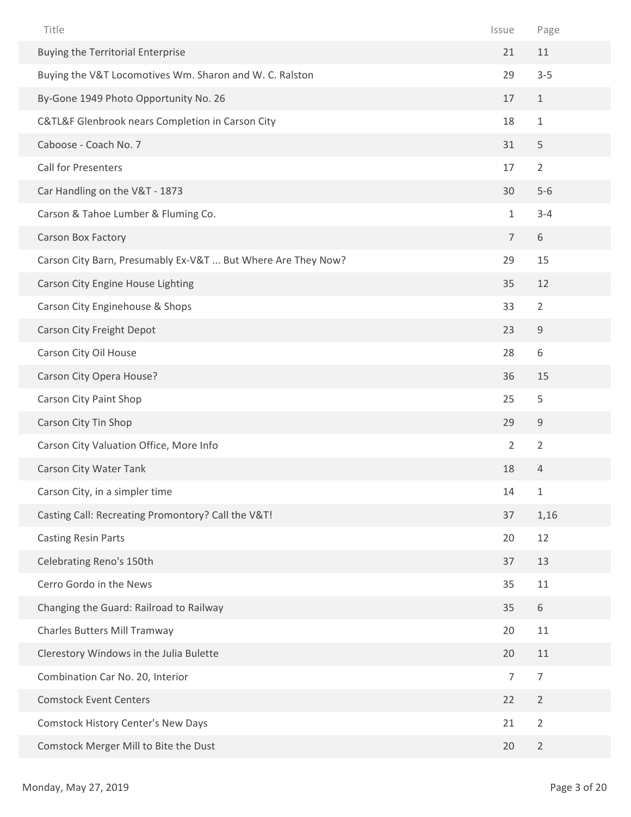| Title                                                        | Issue          | Page           |
|--------------------------------------------------------------|----------------|----------------|
| <b>Buying the Territorial Enterprise</b>                     | 21             | 11             |
| Buying the V&T Locomotives Wm. Sharon and W. C. Ralston      | 29             | $3 - 5$        |
| By-Gone 1949 Photo Opportunity No. 26                        | 17             | $\mathbf{1}$   |
| C&TL&F Glenbrook nears Completion in Carson City             | 18             | $\mathbf{1}$   |
| Caboose - Coach No. 7                                        | 31             | 5              |
| <b>Call for Presenters</b>                                   | 17             | $\overline{2}$ |
| Car Handling on the V&T - 1873                               | 30             | $5-6$          |
| Carson & Tahoe Lumber & Fluming Co.                          | $\mathbf 1$    | $3 - 4$        |
| Carson Box Factory                                           | $\overline{7}$ | 6              |
| Carson City Barn, Presumably Ex-V&T  But Where Are They Now? | 29             | 15             |
| Carson City Engine House Lighting                            | 35             | 12             |
| Carson City Enginehouse & Shops                              | 33             | $\overline{2}$ |
| Carson City Freight Depot                                    | 23             | $\mathsf 9$    |
| Carson City Oil House                                        | 28             | 6              |
| Carson City Opera House?                                     | 36             | 15             |
| Carson City Paint Shop                                       | 25             | 5              |
| Carson City Tin Shop                                         | 29             | 9              |
| Carson City Valuation Office, More Info                      | $\overline{2}$ | $\overline{2}$ |
| Carson City Water Tank                                       | 18             | 4              |
| Carson City, in a simpler time                               | 14             | $\mathbf 1$    |
| Casting Call: Recreating Promontory? Call the V&T!           | 37             | 1,16           |
| <b>Casting Resin Parts</b>                                   | 20             | 12             |
| Celebrating Reno's 150th                                     | 37             | 13             |
| Cerro Gordo in the News                                      | 35             | 11             |
| Changing the Guard: Railroad to Railway                      | 35             | 6              |
| Charles Butters Mill Tramway                                 | 20             | 11             |
| Clerestory Windows in the Julia Bulette                      | 20             | 11             |
| Combination Car No. 20, Interior                             | $\overline{7}$ | $\overline{7}$ |
| <b>Comstock Event Centers</b>                                | 22             | $\overline{2}$ |
| Comstock History Center's New Days                           | 21             | $\overline{2}$ |
| Comstock Merger Mill to Bite the Dust                        | 20             | $\overline{2}$ |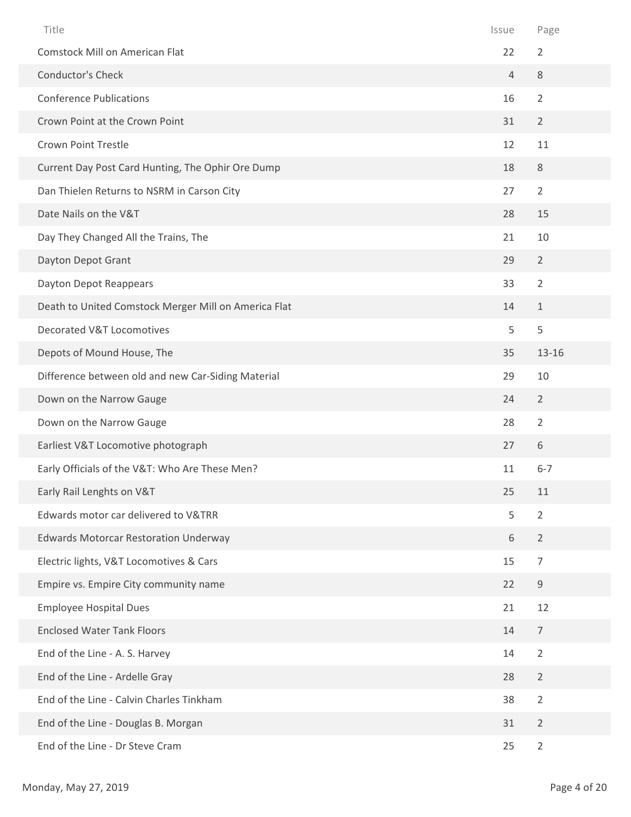| Title                                                | Issue          | Page           |
|------------------------------------------------------|----------------|----------------|
| <b>Comstock Mill on American Flat</b>                | 22             | $\overline{2}$ |
| Conductor's Check                                    | $\overline{4}$ | $\,8\,$        |
| <b>Conference Publications</b>                       | 16             | $\overline{2}$ |
| Crown Point at the Crown Point                       | 31             | $\overline{2}$ |
| <b>Crown Point Trestle</b>                           | 12             | 11             |
| Current Day Post Card Hunting, The Ophir Ore Dump    | 18             | 8              |
| Dan Thielen Returns to NSRM in Carson City           | 27             | $\overline{2}$ |
| Date Nails on the V&T                                | 28             | 15             |
| Day They Changed All the Trains, The                 | 21             | 10             |
| Dayton Depot Grant                                   | 29             | $\overline{2}$ |
| Dayton Depot Reappears                               | 33             | $\overline{2}$ |
| Death to United Comstock Merger Mill on America Flat | 14             | $\mathbf{1}$   |
| <b>Decorated V&amp;T Locomotives</b>                 | 5              | 5              |
| Depots of Mound House, The                           | 35             | $13 - 16$      |
| Difference between old and new Car-Siding Material   | 29             | 10             |
| Down on the Narrow Gauge                             | 24             | $\overline{2}$ |
| Down on the Narrow Gauge                             | 28             | $\overline{2}$ |
| Earliest V&T Locomotive photograph                   | 27             | 6              |
| Early Officials of the V&T: Who Are These Men?       | 11             | $6 - 7$        |
| Early Rail Lenghts on V&T                            | 25             | 11             |
| Edwards motor car delivered to V&TRR                 | 5              | $\overline{2}$ |
| <b>Edwards Motorcar Restoration Underway</b>         | $\,$ 6 $\,$    | $\overline{2}$ |
| Electric lights, V&T Locomotives & Cars              | 15             | $\overline{7}$ |
| Empire vs. Empire City community name                | 22             | $9\,$          |
| <b>Employee Hospital Dues</b>                        | 21             | 12             |
| <b>Enclosed Water Tank Floors</b>                    | 14             | $\overline{7}$ |
| End of the Line - A. S. Harvey                       | 14             | $\overline{2}$ |
| End of the Line - Ardelle Gray                       | 28             | $\overline{2}$ |
| End of the Line - Calvin Charles Tinkham             | 38             | $\overline{2}$ |
| End of the Line - Douglas B. Morgan                  | 31             | $\overline{2}$ |
| End of the Line - Dr Steve Cram                      | 25             | $\overline{2}$ |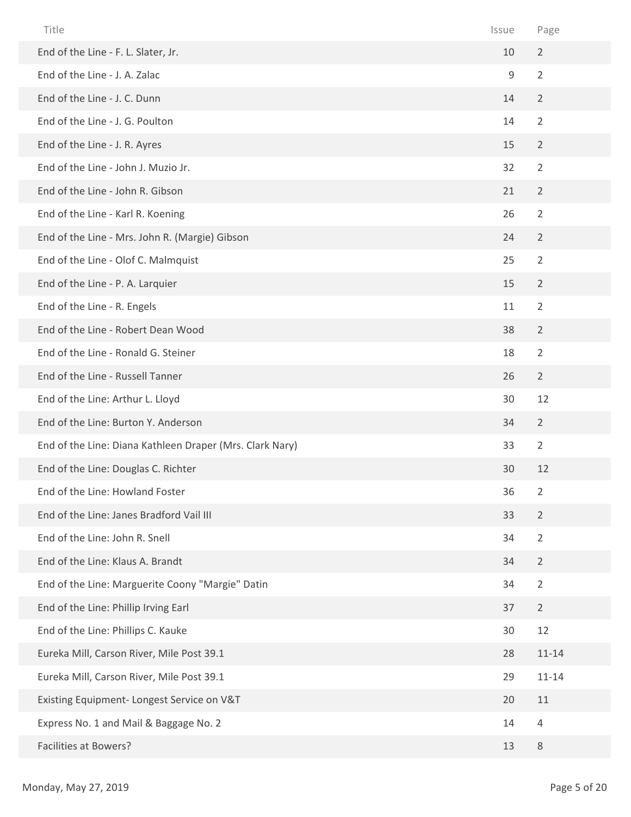| Title                                                    | Issue | Page           |
|----------------------------------------------------------|-------|----------------|
| End of the Line - F. L. Slater, Jr.                      | 10    | $\overline{2}$ |
| End of the Line - J. A. Zalac                            | 9     | $\overline{2}$ |
| End of the Line - J. C. Dunn                             | 14    | $\overline{2}$ |
| End of the Line - J. G. Poulton                          | 14    | $\overline{2}$ |
| End of the Line - J. R. Ayres                            | 15    | $\overline{2}$ |
| End of the Line - John J. Muzio Jr.                      | 32    | $\overline{2}$ |
| End of the Line - John R. Gibson                         | 21    | $\overline{2}$ |
| End of the Line - Karl R. Koening                        | 26    | $\overline{2}$ |
| End of the Line - Mrs. John R. (Margie) Gibson           | 24    | $\overline{2}$ |
| End of the Line - Olof C. Malmquist                      | 25    | $\overline{2}$ |
| End of the Line - P. A. Larquier                         | 15    | $\overline{2}$ |
| End of the Line - R. Engels                              | 11    | $\overline{2}$ |
| End of the Line - Robert Dean Wood                       | 38    | $\overline{2}$ |
| End of the Line - Ronald G. Steiner                      | 18    | $\overline{2}$ |
| End of the Line - Russell Tanner                         | 26    | $\overline{2}$ |
| End of the Line: Arthur L. Lloyd                         | 30    | 12             |
| End of the Line: Burton Y. Anderson                      | 34    | $\overline{2}$ |
| End of the Line: Diana Kathleen Draper (Mrs. Clark Nary) | 33    | $\overline{2}$ |
| End of the Line: Douglas C. Richter                      | 30    | 12             |
| End of the Line: Howland Foster                          | 36    | $\overline{2}$ |
| End of the Line: Janes Bradford Vail III                 | 33    | $\overline{2}$ |
| End of the Line: John R. Snell                           | 34    | $\overline{2}$ |
| End of the Line: Klaus A. Brandt                         | 34    | $\overline{2}$ |
| End of the Line: Marguerite Coony "Margie" Datin         | 34    | $\overline{2}$ |
| End of the Line: Phillip Irving Earl                     | 37    | $\overline{2}$ |
| End of the Line: Phillips C. Kauke                       | 30    | 12             |
| Eureka Mill, Carson River, Mile Post 39.1                | 28    | $11 - 14$      |
| Eureka Mill, Carson River, Mile Post 39.1                | 29    | $11 - 14$      |
| Existing Equipment- Longest Service on V&T               | 20    | 11             |
| Express No. 1 and Mail & Baggage No. 2                   | 14    | $\overline{4}$ |
| <b>Facilities at Bowers?</b>                             | 13    | 8              |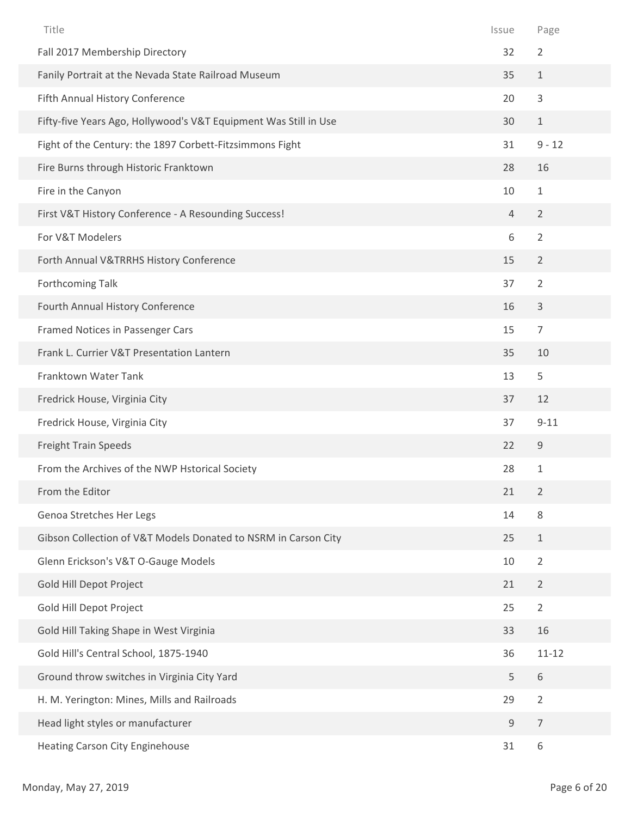| Title                                                            | Issue          | Page             |
|------------------------------------------------------------------|----------------|------------------|
| Fall 2017 Membership Directory                                   | 32             | $\overline{2}$   |
| Fanily Portrait at the Nevada State Railroad Museum              | 35             | $\,1\,$          |
| Fifth Annual History Conference                                  | 20             | 3                |
| Fifty-five Years Ago, Hollywood's V&T Equipment Was Still in Use | 30             | $\mathbf{1}$     |
| Fight of the Century: the 1897 Corbett-Fitzsimmons Fight         | 31             | $9 - 12$         |
| Fire Burns through Historic Franktown                            | 28             | 16               |
| Fire in the Canyon                                               | 10             | $\mathbf{1}$     |
| First V&T History Conference - A Resounding Success!             | $\overline{4}$ | $\overline{2}$   |
| For V&T Modelers                                                 | 6              | $\overline{2}$   |
| Forth Annual V&TRRHS History Conference                          | 15             | $\overline{2}$   |
| Forthcoming Talk                                                 | 37             | $\overline{2}$   |
| Fourth Annual History Conference                                 | 16             | $\mathsf{3}$     |
| Framed Notices in Passenger Cars                                 | 15             | $\overline{7}$   |
| Frank L. Currier V&T Presentation Lantern                        | 35             | 10               |
| Franktown Water Tank                                             | 13             | 5                |
| Fredrick House, Virginia City                                    | 37             | 12               |
| Fredrick House, Virginia City                                    | 37             | $9 - 11$         |
| Freight Train Speeds                                             | 22             | $\mathsf 9$      |
| From the Archives of the NWP Hstorical Society                   | 28             | $1\,$            |
| From the Editor                                                  | 21             | $\overline{2}$   |
| Genoa Stretches Her Legs                                         | 14             | 8                |
| Gibson Collection of V&T Models Donated to NSRM in Carson City   | 25             | $\mathbf{1}$     |
| Glenn Erickson's V&T O-Gauge Models                              | 10             | $\overline{2}$   |
| Gold Hill Depot Project                                          | 21             | $\overline{2}$   |
| Gold Hill Depot Project                                          | 25             | $\overline{2}$   |
| Gold Hill Taking Shape in West Virginia                          | 33             | 16               |
| Gold Hill's Central School, 1875-1940                            | 36             | $11 - 12$        |
| Ground throw switches in Virginia City Yard                      | 5              | $\,$ 6 $\,$      |
| H. M. Yerington: Mines, Mills and Railroads                      | 29             | $\overline{2}$   |
| Head light styles or manufacturer                                | $\mathsf 9$    | $\boldsymbol{7}$ |
| Heating Carson City Enginehouse                                  | 31             | 6                |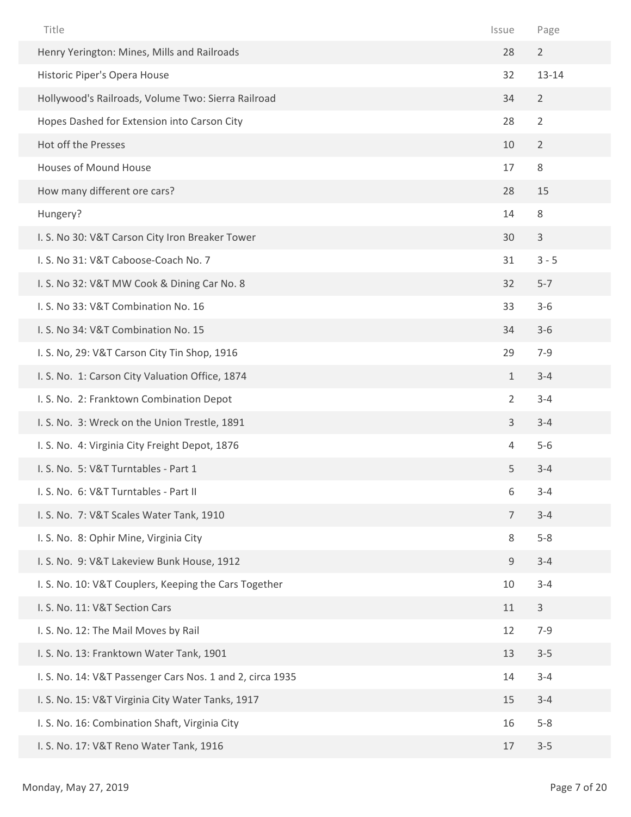| Title                                                     | Issue          | Page           |
|-----------------------------------------------------------|----------------|----------------|
| Henry Yerington: Mines, Mills and Railroads               | 28             | $\overline{2}$ |
| Historic Piper's Opera House                              | 32             | 13-14          |
| Hollywood's Railroads, Volume Two: Sierra Railroad        | 34             | $\overline{2}$ |
| Hopes Dashed for Extension into Carson City               | 28             | $\overline{2}$ |
| Hot off the Presses                                       | 10             | $\overline{2}$ |
| Houses of Mound House                                     | 17             | 8              |
| How many different ore cars?                              | 28             | 15             |
| Hungery?                                                  | 14             | $\,8\,$        |
| I. S. No 30: V&T Carson City Iron Breaker Tower           | 30             | $\mathbf{3}$   |
| I. S. No 31: V&T Caboose-Coach No. 7                      | 31             | $3 - 5$        |
| I. S. No 32: V&T MW Cook & Dining Car No. 8               | 32             | $5 - 7$        |
| I. S. No 33: V&T Combination No. 16                       | 33             | $3 - 6$        |
| I. S. No 34: V&T Combination No. 15                       | 34             | $3 - 6$        |
| I. S. No, 29: V&T Carson City Tin Shop, 1916              | 29             | $7 - 9$        |
| I. S. No. 1: Carson City Valuation Office, 1874           | $\mathbf{1}$   | $3 - 4$        |
| I. S. No. 2: Franktown Combination Depot                  | $\overline{2}$ | $3 - 4$        |
| I. S. No. 3: Wreck on the Union Trestle, 1891             | $\mathsf{3}$   | $3 - 4$        |
| I. S. No. 4: Virginia City Freight Depot, 1876            | 4              | $5-6$          |
| I. S. No. 5: V&T Turntables - Part 1                      | 5              | $3 - 4$        |
| I. S. No. 6: V&T Turntables - Part II                     | 6              | $3 - 4$        |
| I. S. No. 7: V&T Scales Water Tank, 1910                  | $\overline{7}$ | $3 - 4$        |
| I. S. No. 8: Ophir Mine, Virginia City                    | 8              | $5-8$          |
| I. S. No. 9: V&T Lakeview Bunk House, 1912                | 9              | $3 - 4$        |
| I. S. No. 10: V&T Couplers, Keeping the Cars Together     | 10             | $3 - 4$        |
| I. S. No. 11: V&T Section Cars                            | 11             | $\mathbf{3}$   |
| I. S. No. 12: The Mail Moves by Rail                      | 12             | $7 - 9$        |
| I. S. No. 13: Franktown Water Tank, 1901                  | 13             | $3 - 5$        |
| I. S. No. 14: V&T Passenger Cars Nos. 1 and 2, circa 1935 | 14             | $3 - 4$        |
| I. S. No. 15: V&T Virginia City Water Tanks, 1917         | 15             | $3 - 4$        |
| I. S. No. 16: Combination Shaft, Virginia City            | 16             | $5 - 8$        |
| I. S. No. 17: V&T Reno Water Tank, 1916                   | 17             | $3 - 5$        |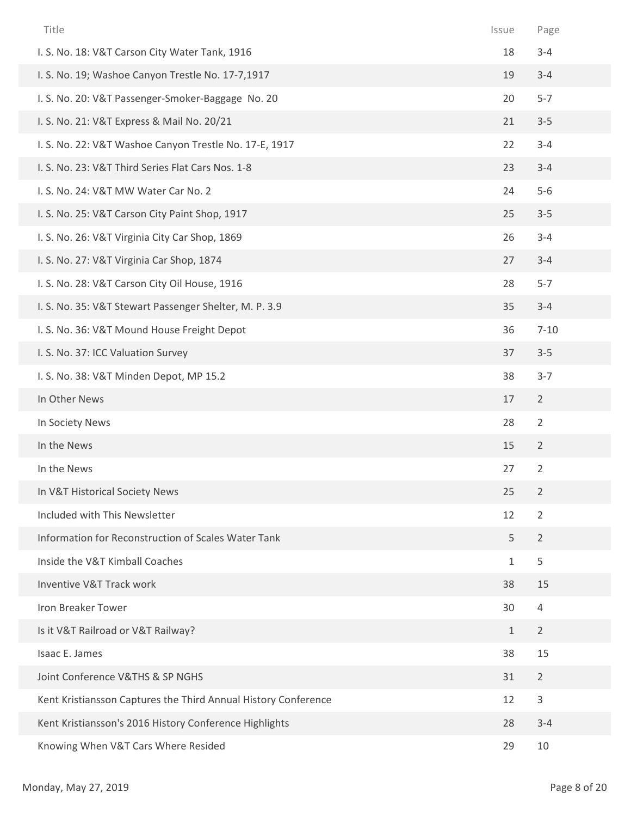| Title                                                          | Issue        | Page           |
|----------------------------------------------------------------|--------------|----------------|
| I. S. No. 18: V&T Carson City Water Tank, 1916                 | 18           | $3 - 4$        |
| I. S. No. 19; Washoe Canyon Trestle No. 17-7,1917              | 19           | $3 - 4$        |
| I. S. No. 20: V&T Passenger-Smoker-Baggage No. 20              | 20           | $5 - 7$        |
| I. S. No. 21: V&T Express & Mail No. 20/21                     | 21           | $3 - 5$        |
| I. S. No. 22: V&T Washoe Canyon Trestle No. 17-E, 1917         | 22           | $3 - 4$        |
| I. S. No. 23: V&T Third Series Flat Cars Nos. 1-8              | 23           | $3 - 4$        |
| I. S. No. 24: V&T MW Water Car No. 2                           | 24           | $5-6$          |
| I. S. No. 25: V&T Carson City Paint Shop, 1917                 | 25           | $3 - 5$        |
| I. S. No. 26: V&T Virginia City Car Shop, 1869                 | 26           | $3 - 4$        |
| I. S. No. 27: V&T Virginia Car Shop, 1874                      | 27           | $3 - 4$        |
| I. S. No. 28: V&T Carson City Oil House, 1916                  | 28           | $5 - 7$        |
| I. S. No. 35: V&T Stewart Passenger Shelter, M. P. 3.9         | 35           | $3 - 4$        |
| I. S. No. 36: V&T Mound House Freight Depot                    | 36           | $7 - 10$       |
| I. S. No. 37: ICC Valuation Survey                             | 37           | $3 - 5$        |
| I. S. No. 38: V&T Minden Depot, MP 15.2                        | 38           | $3 - 7$        |
| In Other News                                                  | 17           | $\overline{2}$ |
| In Society News                                                | 28           | $\overline{2}$ |
| In the News                                                    | 15           | $\overline{2}$ |
| In the News                                                    | 27           | $\overline{2}$ |
| In V&T Historical Society News                                 | 25           | $\overline{2}$ |
| Included with This Newsletter                                  | 12           | $\overline{2}$ |
| Information for Reconstruction of Scales Water Tank            | 5            | $\overline{2}$ |
| Inside the V&T Kimball Coaches                                 | $\mathbf{1}$ | 5              |
| Inventive V&T Track work                                       | 38           | 15             |
| Iron Breaker Tower                                             | 30           | $\overline{4}$ |
| Is it V&T Railroad or V&T Railway?                             | $\mathbf{1}$ | $\overline{2}$ |
| Isaac E. James                                                 | 38           | 15             |
| Joint Conference V&THS & SP NGHS                               | 31           | $\overline{2}$ |
| Kent Kristiansson Captures the Third Annual History Conference | 12           | 3              |
| Kent Kristiansson's 2016 History Conference Highlights         | 28           | $3 - 4$        |
| Knowing When V&T Cars Where Resided                            | 29           | 10             |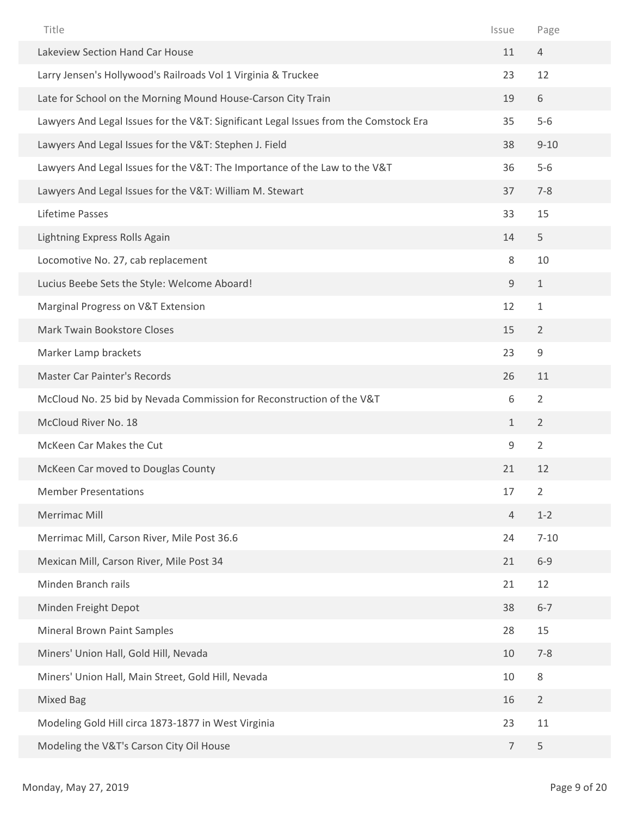| Title                                                                                | Issue          | Page           |
|--------------------------------------------------------------------------------------|----------------|----------------|
| Lakeview Section Hand Car House                                                      | 11             | $\overline{4}$ |
| Larry Jensen's Hollywood's Railroads Vol 1 Virginia & Truckee                        | 23             | 12             |
| Late for School on the Morning Mound House-Carson City Train                         | 19             | 6              |
| Lawyers And Legal Issues for the V&T: Significant Legal Issues from the Comstock Era | 35             | $5-6$          |
| Lawyers And Legal Issues for the V&T: Stephen J. Field                               | 38             | $9 - 10$       |
| Lawyers And Legal Issues for the V&T: The Importance of the Law to the V&T           | 36             | $5-6$          |
| Lawyers And Legal Issues for the V&T: William M. Stewart                             | 37             | $7 - 8$        |
| Lifetime Passes                                                                      | 33             | 15             |
| Lightning Express Rolls Again                                                        | 14             | 5              |
| Locomotive No. 27, cab replacement                                                   | 8              | 10             |
| Lucius Beebe Sets the Style: Welcome Aboard!                                         | 9              | $\mathbf{1}$   |
| Marginal Progress on V&T Extension                                                   | 12             | $\mathbf{1}$   |
| Mark Twain Bookstore Closes                                                          | 15             | $\overline{2}$ |
| Marker Lamp brackets                                                                 | 23             | 9              |
| <b>Master Car Painter's Records</b>                                                  | 26             | 11             |
| McCloud No. 25 bid by Nevada Commission for Reconstruction of the V&T                | 6              | $\overline{2}$ |
| McCloud River No. 18                                                                 | $\mathbf{1}$   | $\overline{2}$ |
| McKeen Car Makes the Cut                                                             | $\mathsf 9$    | $\overline{2}$ |
| McKeen Car moved to Douglas County                                                   | 21             | 12             |
| <b>Member Presentations</b>                                                          | 17             | $\overline{2}$ |
| Merrimac Mill                                                                        | $\overline{4}$ | $1 - 2$        |
| Merrimac Mill, Carson River, Mile Post 36.6                                          | 24             | $7 - 10$       |
| Mexican Mill, Carson River, Mile Post 34                                             | 21             | $6 - 9$        |
| Minden Branch rails                                                                  | 21             | 12             |
| Minden Freight Depot                                                                 | 38             | $6 - 7$        |
| Mineral Brown Paint Samples                                                          | 28             | 15             |
| Miners' Union Hall, Gold Hill, Nevada                                                | 10             | $7 - 8$        |
| Miners' Union Hall, Main Street, Gold Hill, Nevada                                   | 10             | 8              |
| <b>Mixed Bag</b>                                                                     | 16             | $\overline{2}$ |
| Modeling Gold Hill circa 1873-1877 in West Virginia                                  | 23             | 11             |
| Modeling the V&T's Carson City Oil House                                             | $\overline{7}$ | 5              |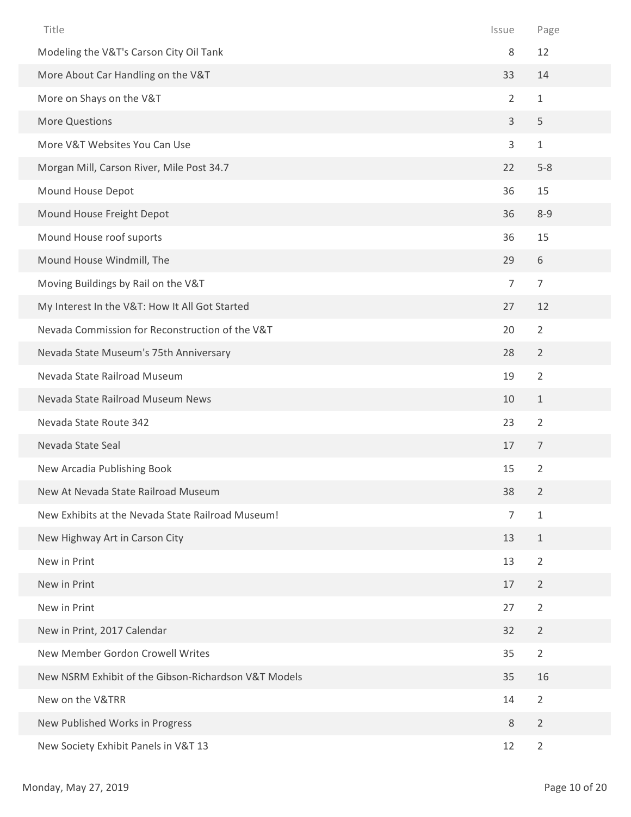| Title                                                | Issue          | Page           |
|------------------------------------------------------|----------------|----------------|
| Modeling the V&T's Carson City Oil Tank              | 8              | 12             |
| More About Car Handling on the V&T                   | 33             | 14             |
| More on Shays on the V&T                             | $\overline{2}$ | $1\,$          |
| <b>More Questions</b>                                | 3              | 5              |
| More V&T Websites You Can Use                        | 3              | $\mathbf{1}$   |
| Morgan Mill, Carson River, Mile Post 34.7            | 22             | $5-8$          |
| Mound House Depot                                    | 36             | 15             |
| Mound House Freight Depot                            | 36             | $8 - 9$        |
| Mound House roof suports                             | 36             | 15             |
| Mound House Windmill, The                            | 29             | 6              |
| Moving Buildings by Rail on the V&T                  | 7              | $\overline{7}$ |
| My Interest In the V&T: How It All Got Started       | 27             | 12             |
| Nevada Commission for Reconstruction of the V&T      | 20             | $\overline{2}$ |
| Nevada State Museum's 75th Anniversary               | 28             | $\overline{2}$ |
| Nevada State Railroad Museum                         | 19             | $\overline{2}$ |
| Nevada State Railroad Museum News                    | 10             | $\mathbf{1}$   |
| Nevada State Route 342                               | 23             | $\overline{2}$ |
| Nevada State Seal                                    | 17             | $\overline{7}$ |
| New Arcadia Publishing Book                          | 15             | $\overline{2}$ |
| New At Nevada State Railroad Museum                  | 38             | $\overline{2}$ |
| New Exhibits at the Nevada State Railroad Museum!    | $\overline{7}$ | $\mathbf{1}$   |
| New Highway Art in Carson City                       | 13             | $\mathbf{1}$   |
| New in Print                                         | 13             | $\overline{2}$ |
| New in Print                                         | 17             | $\overline{2}$ |
| New in Print                                         | 27             | $\overline{2}$ |
| New in Print, 2017 Calendar                          | 32             | $\overline{2}$ |
| New Member Gordon Crowell Writes                     | 35             | $\overline{2}$ |
| New NSRM Exhibit of the Gibson-Richardson V&T Models | 35             | 16             |
| New on the V&TRR                                     | 14             | $\overline{2}$ |
| New Published Works in Progress                      | $8\,$          | $\overline{2}$ |
| New Society Exhibit Panels in V&T 13                 | 12             | $\overline{2}$ |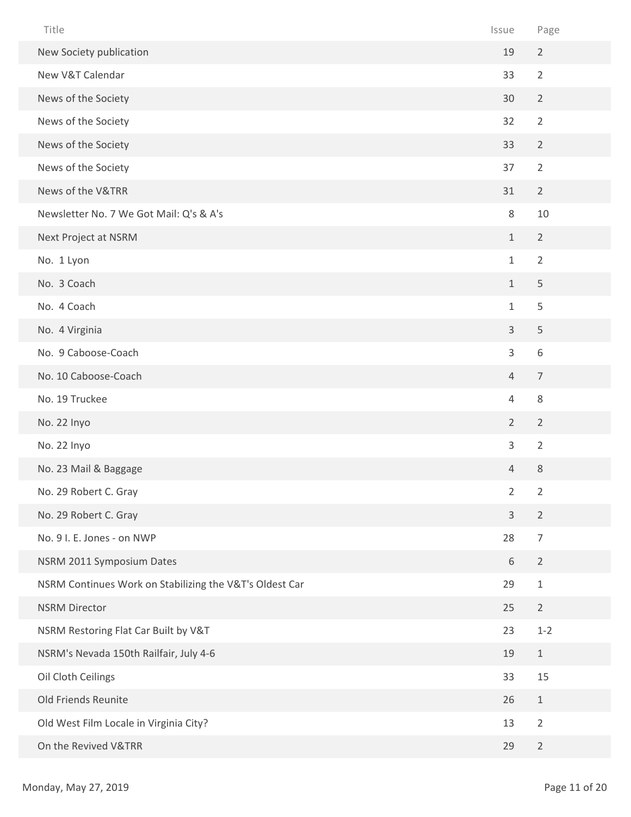| Title                                                   | Issue          | Page           |
|---------------------------------------------------------|----------------|----------------|
| New Society publication                                 | 19             | $\overline{2}$ |
| New V&T Calendar                                        | 33             | $\overline{2}$ |
| News of the Society                                     | 30             | $\overline{2}$ |
| News of the Society                                     | 32             | $\overline{2}$ |
| News of the Society                                     | 33             | $\overline{2}$ |
| News of the Society                                     | 37             | $\overline{2}$ |
| News of the V&TRR                                       | 31             | $\overline{2}$ |
| Newsletter No. 7 We Got Mail: Q's & A's                 | 8              | 10             |
| Next Project at NSRM                                    | $1\,$          | $\overline{2}$ |
| No. 1 Lyon                                              | $\mathbf{1}$   | $\overline{2}$ |
| No. 3 Coach                                             | $\mathbf{1}$   | 5              |
| No. 4 Coach                                             | $\mathbf{1}$   | 5              |
| No. 4 Virginia                                          | $\mathsf{3}$   | 5              |
| No. 9 Caboose-Coach                                     | 3              | 6              |
| No. 10 Caboose-Coach                                    | $\overline{4}$ | $\overline{7}$ |
| No. 19 Truckee                                          | $\overline{4}$ | $\,8\,$        |
| No. 22 Inyo                                             | $\overline{2}$ | $\overline{2}$ |
| No. 22 Inyo                                             | 3              | $\overline{2}$ |
| No. 23 Mail & Baggage                                   | 4              | 8              |
| No. 29 Robert C. Gray                                   | $\overline{2}$ | $\overline{2}$ |
| No. 29 Robert C. Gray                                   | $\mathsf{3}$   | $\overline{2}$ |
| No. 9 I. E. Jones - on NWP                              | 28             | $\overline{7}$ |
| NSRM 2011 Symposium Dates                               | 6              | $\overline{2}$ |
| NSRM Continues Work on Stabilizing the V&T's Oldest Car | 29             | $\mathbf 1$    |
| <b>NSRM Director</b>                                    | 25             | $\overline{2}$ |
| NSRM Restoring Flat Car Built by V&T                    | 23             | $1 - 2$        |
| NSRM's Nevada 150th Railfair, July 4-6                  | 19             | $\mathbf{1}$   |
| Oil Cloth Ceilings                                      | 33             | 15             |
| Old Friends Reunite                                     | 26             | $1\,$          |
| Old West Film Locale in Virginia City?                  | 13             | $\overline{2}$ |
| On the Revived V&TRR                                    | 29             | $\overline{2}$ |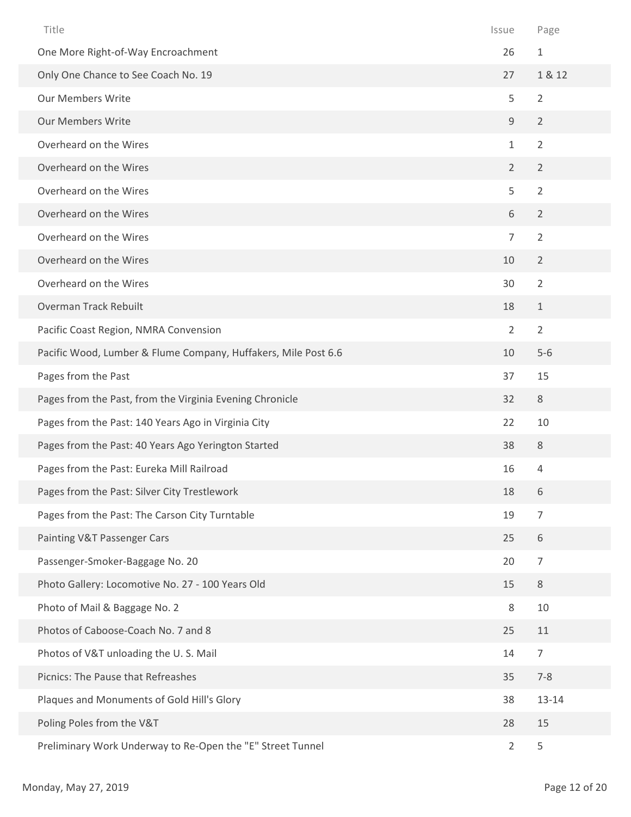| Title                                                          | Issue          | Page           |
|----------------------------------------------------------------|----------------|----------------|
| One More Right-of-Way Encroachment                             | 26             | $\mathbf{1}$   |
| Only One Chance to See Coach No. 19                            | 27             | 1 & 12         |
| <b>Our Members Write</b>                                       | 5              | $\overline{2}$ |
| <b>Our Members Write</b>                                       | 9              | $\overline{2}$ |
| Overheard on the Wires                                         | $\mathbf{1}$   | $\overline{2}$ |
| Overheard on the Wires                                         | $\overline{2}$ | $\overline{2}$ |
| Overheard on the Wires                                         | 5              | $\overline{2}$ |
| Overheard on the Wires                                         | 6              | $\overline{2}$ |
| Overheard on the Wires                                         | $\overline{7}$ | $\overline{2}$ |
| Overheard on the Wires                                         | 10             | $\overline{2}$ |
| Overheard on the Wires                                         | 30             | $\overline{2}$ |
| Overman Track Rebuilt                                          | 18             | $\mathbf{1}$   |
| Pacific Coast Region, NMRA Convension                          | $\overline{2}$ | $\overline{2}$ |
| Pacific Wood, Lumber & Flume Company, Huffakers, Mile Post 6.6 | 10             | $5-6$          |
| Pages from the Past                                            | 37             | 15             |
| Pages from the Past, from the Virginia Evening Chronicle       | 32             | $\,8\,$        |
| Pages from the Past: 140 Years Ago in Virginia City            | 22             | 10             |
| Pages from the Past: 40 Years Ago Yerington Started            | 38             | 8              |
| Pages from the Past: Eureka Mill Railroad                      | 16             | 4              |
| Pages from the Past: Silver City Trestlework                   | 18             | 6              |
| Pages from the Past: The Carson City Turntable                 | 19             | $\overline{7}$ |
| Painting V&T Passenger Cars                                    | 25             | 6              |
| Passenger-Smoker-Baggage No. 20                                | 20             | $\overline{7}$ |
| Photo Gallery: Locomotive No. 27 - 100 Years Old               | 15             | $\,8\,$        |
| Photo of Mail & Baggage No. 2                                  | 8              | 10             |
| Photos of Caboose-Coach No. 7 and 8                            | 25             | 11             |
| Photos of V&T unloading the U.S. Mail                          | 14             | $\overline{7}$ |
| Picnics: The Pause that Refreashes                             | 35             | $7 - 8$        |
| Plaques and Monuments of Gold Hill's Glory                     | 38             | $13 - 14$      |
| Poling Poles from the V&T                                      | 28             | 15             |
| Preliminary Work Underway to Re-Open the "E" Street Tunnel     | $\overline{2}$ | 5              |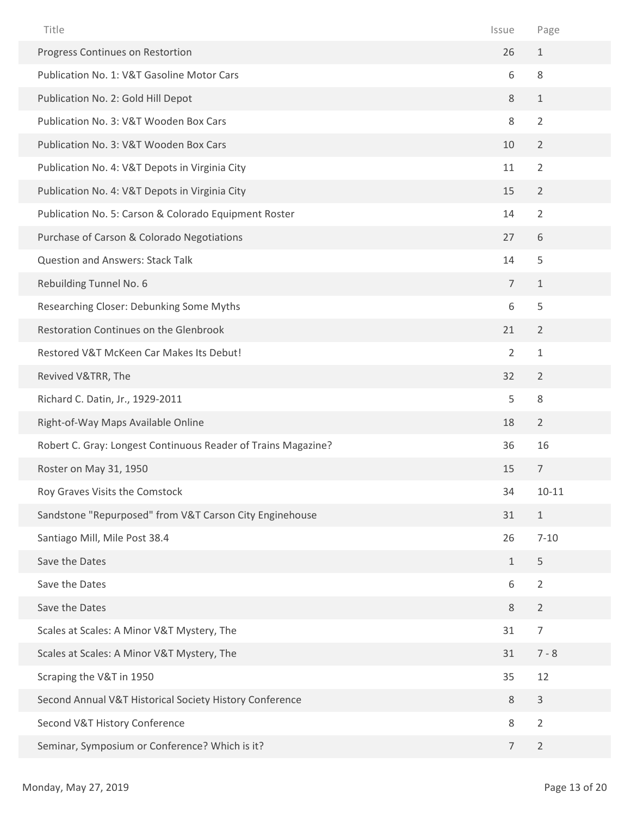| Title                                                         | Issue          | Page           |
|---------------------------------------------------------------|----------------|----------------|
| Progress Continues on Restortion                              | 26             | $\mathbf{1}$   |
| Publication No. 1: V&T Gasoline Motor Cars                    | 6              | 8              |
| Publication No. 2: Gold Hill Depot                            | 8              | $\mathbf{1}$   |
| Publication No. 3: V&T Wooden Box Cars                        | 8              | $\overline{2}$ |
| Publication No. 3: V&T Wooden Box Cars                        | 10             | $\overline{2}$ |
| Publication No. 4: V&T Depots in Virginia City                | 11             | $\overline{2}$ |
| Publication No. 4: V&T Depots in Virginia City                | 15             | $\overline{2}$ |
| Publication No. 5: Carson & Colorado Equipment Roster         | 14             | $\overline{2}$ |
| Purchase of Carson & Colorado Negotiations                    | 27             | 6              |
| Question and Answers: Stack Talk                              | 14             | 5              |
| Rebuilding Tunnel No. 6                                       | $\overline{7}$ | $\mathbf{1}$   |
| Researching Closer: Debunking Some Myths                      | 6              | 5              |
| Restoration Continues on the Glenbrook                        | 21             | $\overline{2}$ |
| Restored V&T McKeen Car Makes Its Debut!                      | $\overline{2}$ | $\mathbf{1}$   |
| Revived V&TRR, The                                            | 32             | $\overline{2}$ |
| Richard C. Datin, Jr., 1929-2011                              | 5              | 8              |
| Right-of-Way Maps Available Online                            | 18             | $\overline{2}$ |
| Robert C. Gray: Longest Continuous Reader of Trains Magazine? | 36             | 16             |
| Roster on May 31, 1950                                        | 15             | $\overline{7}$ |
| Roy Graves Visits the Comstock                                | 34             | $10 - 11$      |
| Sandstone "Repurposed" from V&T Carson City Enginehouse       | 31             | $\mathbf{1}$   |
| Santiago Mill, Mile Post 38.4                                 | 26             | $7 - 10$       |
| Save the Dates                                                | $\mathbf{1}$   | 5              |
| Save the Dates                                                | 6              | $\overline{2}$ |
| Save the Dates                                                | 8              | $\overline{2}$ |
| Scales at Scales: A Minor V&T Mystery, The                    | 31             | $\overline{7}$ |
| Scales at Scales: A Minor V&T Mystery, The                    | 31             | $7 - 8$        |
| Scraping the V&T in 1950                                      | 35             | 12             |
| Second Annual V&T Historical Society History Conference       | 8              | $\mathbf{3}$   |
| Second V&T History Conference                                 | $\,8\,$        | $\overline{2}$ |
| Seminar, Symposium or Conference? Which is it?                | 7              | $\overline{2}$ |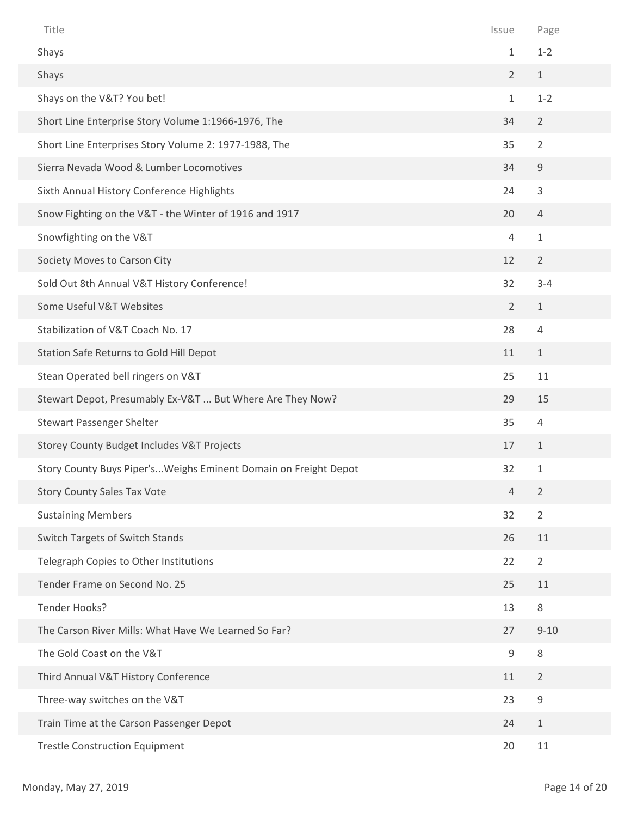| Title                                                           | Issue          | Page           |
|-----------------------------------------------------------------|----------------|----------------|
| Shays                                                           | $\mathbf{1}$   | $1 - 2$        |
| Shays                                                           | $\overline{2}$ | $\mathbf{1}$   |
| Shays on the V&T? You bet!                                      | $\mathbf{1}$   | $1 - 2$        |
| Short Line Enterprise Story Volume 1:1966-1976, The             | 34             | $\overline{2}$ |
| Short Line Enterprises Story Volume 2: 1977-1988, The           | 35             | $\overline{2}$ |
| Sierra Nevada Wood & Lumber Locomotives                         | 34             | $\mathsf g$    |
| Sixth Annual History Conference Highlights                      | 24             | 3              |
| Snow Fighting on the V&T - the Winter of 1916 and 1917          | 20             | $\overline{4}$ |
| Snowfighting on the V&T                                         | $\overline{4}$ | $\mathbf{1}$   |
| Society Moves to Carson City                                    | 12             | $\overline{2}$ |
| Sold Out 8th Annual V&T History Conference!                     | 32             | $3 - 4$        |
| Some Useful V&T Websites                                        | $\overline{2}$ | $\mathbf{1}$   |
| Stabilization of V&T Coach No. 17                               | 28             | $\overline{4}$ |
| Station Safe Returns to Gold Hill Depot                         | 11             | $\mathbf{1}$   |
| Stean Operated bell ringers on V&T                              | 25             | 11             |
| Stewart Depot, Presumably Ex-V&T  But Where Are They Now?       | 29             | 15             |
| <b>Stewart Passenger Shelter</b>                                | 35             | $\overline{4}$ |
| Storey County Budget Includes V&T Projects                      | 17             | $\mathbf{1}$   |
| Story County Buys Piper'sWeighs Eminent Domain on Freight Depot | 32             | $\mathbf 1$    |
| <b>Story County Sales Tax Vote</b>                              | $\overline{4}$ | $\overline{2}$ |
| <b>Sustaining Members</b>                                       | 32             | $\overline{2}$ |
| Switch Targets of Switch Stands                                 | 26             | 11             |
| Telegraph Copies to Other Institutions                          | 22             | $\overline{2}$ |
| Tender Frame on Second No. 25                                   | 25             | 11             |
| Tender Hooks?                                                   | 13             | 8              |
| The Carson River Mills: What Have We Learned So Far?            | 27             | $9 - 10$       |
| The Gold Coast on the V&T                                       | 9              | 8              |
| Third Annual V&T History Conference                             | 11             | $\overline{2}$ |
| Three-way switches on the V&T                                   | 23             | $\mathsf 9$    |
| Train Time at the Carson Passenger Depot                        | 24             | $\mathbf{1}$   |
| <b>Trestle Construction Equipment</b>                           | 20             | 11             |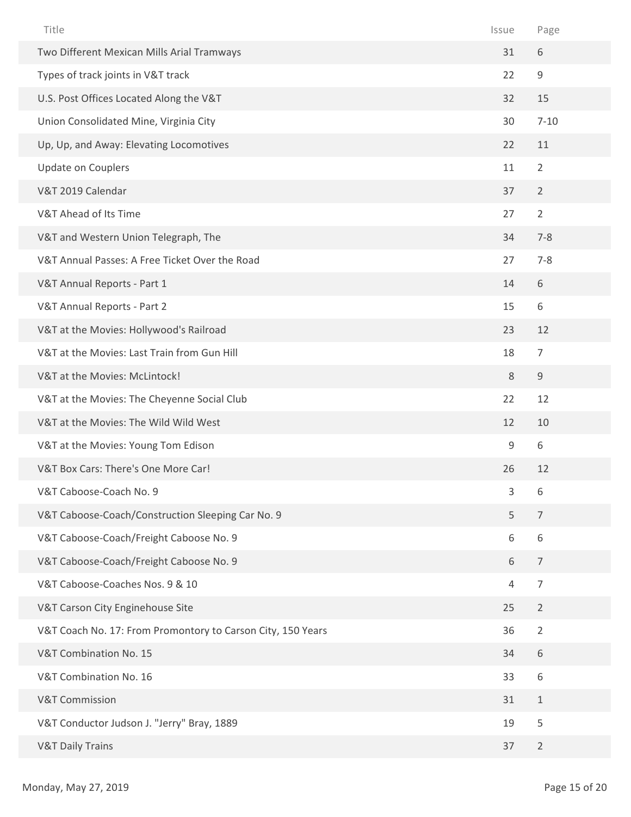| Title                                                       | Issue          | Page           |
|-------------------------------------------------------------|----------------|----------------|
| Two Different Mexican Mills Arial Tramways                  | 31             | 6              |
| Types of track joints in V&T track                          | 22             | 9              |
| U.S. Post Offices Located Along the V&T                     | 32             | 15             |
| Union Consolidated Mine, Virginia City                      | 30             | $7 - 10$       |
| Up, Up, and Away: Elevating Locomotives                     | 22             | 11             |
| Update on Couplers                                          | 11             | $\overline{2}$ |
| V&T 2019 Calendar                                           | 37             | $\overline{2}$ |
| V&T Ahead of Its Time                                       | 27             | $\overline{2}$ |
| V&T and Western Union Telegraph, The                        | 34             | $7 - 8$        |
| V&T Annual Passes: A Free Ticket Over the Road              | 27             | $7 - 8$        |
| V&T Annual Reports - Part 1                                 | 14             | 6              |
| V&T Annual Reports - Part 2                                 | 15             | 6              |
| V&T at the Movies: Hollywood's Railroad                     | 23             | 12             |
| V&T at the Movies: Last Train from Gun Hill                 | 18             | $\overline{7}$ |
| V&T at the Movies: McLintock!                               | 8              | $\mathsf g$    |
| V&T at the Movies: The Cheyenne Social Club                 | 22             | 12             |
| V&T at the Movies: The Wild Wild West                       | 12             | 10             |
| V&T at the Movies: Young Tom Edison                         | $\mathsf 9$    | 6              |
| V&T Box Cars: There's One More Car!                         | 26             | 12             |
| V&T Caboose-Coach No. 9                                     | 3              | 6              |
| V&T Caboose-Coach/Construction Sleeping Car No. 9           | 5              | $\overline{7}$ |
| V&T Caboose-Coach/Freight Caboose No. 9                     | 6              | 6              |
| V&T Caboose-Coach/Freight Caboose No. 9                     | 6              | $\overline{7}$ |
| V&T Caboose-Coaches Nos. 9 & 10                             | $\overline{4}$ | $\overline{7}$ |
| V&T Carson City Enginehouse Site                            | 25             | $\overline{2}$ |
| V&T Coach No. 17: From Promontory to Carson City, 150 Years | 36             | $\overline{2}$ |
| V&T Combination No. 15                                      | 34             | 6              |
| V&T Combination No. 16                                      | 33             | 6              |
| <b>V&amp;T Commission</b>                                   | 31             | $\mathbf{1}$   |
| V&T Conductor Judson J. "Jerry" Bray, 1889                  | 19             | 5              |
| <b>V&amp;T Daily Trains</b>                                 | 37             | $\overline{2}$ |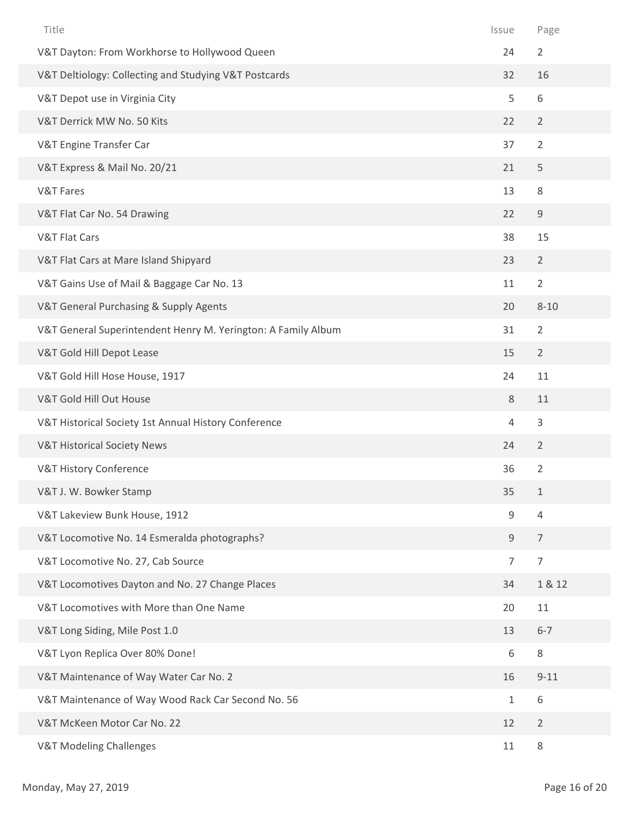| Title                                                         | Issue          | Page           |
|---------------------------------------------------------------|----------------|----------------|
| V&T Dayton: From Workhorse to Hollywood Queen                 | 24             | $\overline{2}$ |
| V&T Deltiology: Collecting and Studying V&T Postcards         | 32             | 16             |
| V&T Depot use in Virginia City                                | 5              | 6              |
| V&T Derrick MW No. 50 Kits                                    | 22             | $\overline{2}$ |
| V&T Engine Transfer Car                                       | 37             | $\overline{2}$ |
| V&T Express & Mail No. 20/21                                  | 21             | 5              |
| V&T Fares                                                     | 13             | $\,8\,$        |
| V&T Flat Car No. 54 Drawing                                   | 22             | $\mathsf 9$    |
| <b>V&amp;T Flat Cars</b>                                      | 38             | 15             |
| V&T Flat Cars at Mare Island Shipyard                         | 23             | $\overline{2}$ |
| V&T Gains Use of Mail & Baggage Car No. 13                    | 11             | $\overline{2}$ |
| V&T General Purchasing & Supply Agents                        | 20             | $8 - 10$       |
| V&T General Superintendent Henry M. Yerington: A Family Album | 31             | $\overline{2}$ |
| V&T Gold Hill Depot Lease                                     | 15             | $\overline{2}$ |
| V&T Gold Hill Hose House, 1917                                | 24             | 11             |
| V&T Gold Hill Out House                                       | 8              | 11             |
| V&T Historical Society 1st Annual History Conference          | $\overline{4}$ | 3              |
| <b>V&amp;T Historical Society News</b>                        | 24             | $\overline{2}$ |
| V&T History Conference                                        | 36             | $\overline{2}$ |
| V&T J. W. Bowker Stamp                                        | 35             | $\mathbf{1}$   |
| V&T Lakeview Bunk House, 1912                                 | 9              | $\overline{4}$ |
| V&T Locomotive No. 14 Esmeralda photographs?                  | 9              | $\overline{7}$ |
| V&T Locomotive No. 27, Cab Source                             | $\overline{7}$ | $\overline{7}$ |
| V&T Locomotives Dayton and No. 27 Change Places               | 34             | 1 & 12         |
| V&T Locomotives with More than One Name                       | 20             | 11             |
| V&T Long Siding, Mile Post 1.0                                | 13             | $6 - 7$        |
| V&T Lyon Replica Over 80% Done!                               | 6              | $\,8\,$        |
| V&T Maintenance of Way Water Car No. 2                        | 16             | $9 - 11$       |
| V&T Maintenance of Way Wood Rack Car Second No. 56            | $\mathbf{1}$   | 6              |
| V&T McKeen Motor Car No. 22                                   | 12             | $\overline{2}$ |
| <b>V&amp;T Modeling Challenges</b>                            | $11\,$         | 8              |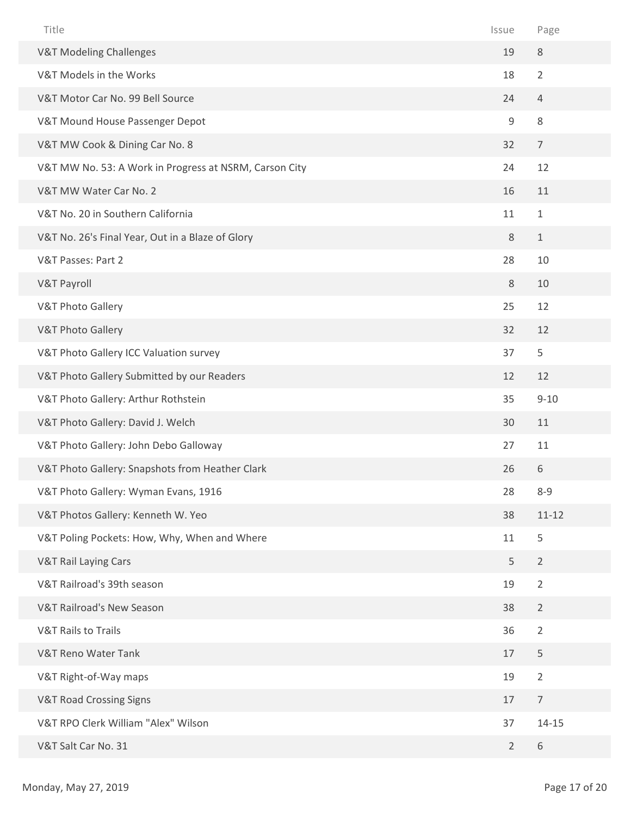| Title                                                  | Issue          | Page           |
|--------------------------------------------------------|----------------|----------------|
| <b>V&amp;T Modeling Challenges</b>                     | 19             | $\,8\,$        |
| V&T Models in the Works                                | 18             | $\overline{2}$ |
| V&T Motor Car No. 99 Bell Source                       | 24             | 4              |
| V&T Mound House Passenger Depot                        | 9              | 8              |
| V&T MW Cook & Dining Car No. 8                         | 32             | $\overline{7}$ |
| V&T MW No. 53: A Work in Progress at NSRM, Carson City | 24             | 12             |
| V&T MW Water Car No. 2                                 | 16             | 11             |
| V&T No. 20 in Southern California                      | 11             | $1\,$          |
| V&T No. 26's Final Year, Out in a Blaze of Glory       | $\,8\,$        | $\mathbf{1}$   |
| V&T Passes: Part 2                                     | 28             | 10             |
| <b>V&amp;T Payroll</b>                                 | 8              | 10             |
| <b>V&amp;T Photo Gallery</b>                           | 25             | 12             |
| <b>V&amp;T Photo Gallery</b>                           | 32             | 12             |
| V&T Photo Gallery ICC Valuation survey                 | 37             | 5              |
| V&T Photo Gallery Submitted by our Readers             | 12             | 12             |
| V&T Photo Gallery: Arthur Rothstein                    | 35             | $9 - 10$       |
| V&T Photo Gallery: David J. Welch                      | 30             | 11             |
| V&T Photo Gallery: John Debo Galloway                  | 27             | 11             |
| V&T Photo Gallery: Snapshots from Heather Clark        | 26             | 6              |
| V&T Photo Gallery: Wyman Evans, 1916                   | 28             | $8 - 9$        |
| V&T Photos Gallery: Kenneth W. Yeo                     | 38             | $11 - 12$      |
| V&T Poling Pockets: How, Why, When and Where           | 11             | 5              |
| <b>V&amp;T Rail Laying Cars</b>                        | 5              | $\overline{2}$ |
| V&T Railroad's 39th season                             | 19             | $\overline{2}$ |
| V&T Railroad's New Season                              | 38             | $\overline{2}$ |
| <b>V&amp;T Rails to Trails</b>                         | 36             | $\overline{2}$ |
| <b>V&amp;T Reno Water Tank</b>                         | 17             | 5              |
| V&T Right-of-Way maps                                  | 19             | $\overline{2}$ |
| <b>V&amp;T Road Crossing Signs</b>                     | 17             | $\overline{7}$ |
| V&T RPO Clerk William "Alex" Wilson                    | 37             | $14 - 15$      |
| V&T Salt Car No. 31                                    | $\overline{2}$ | 6              |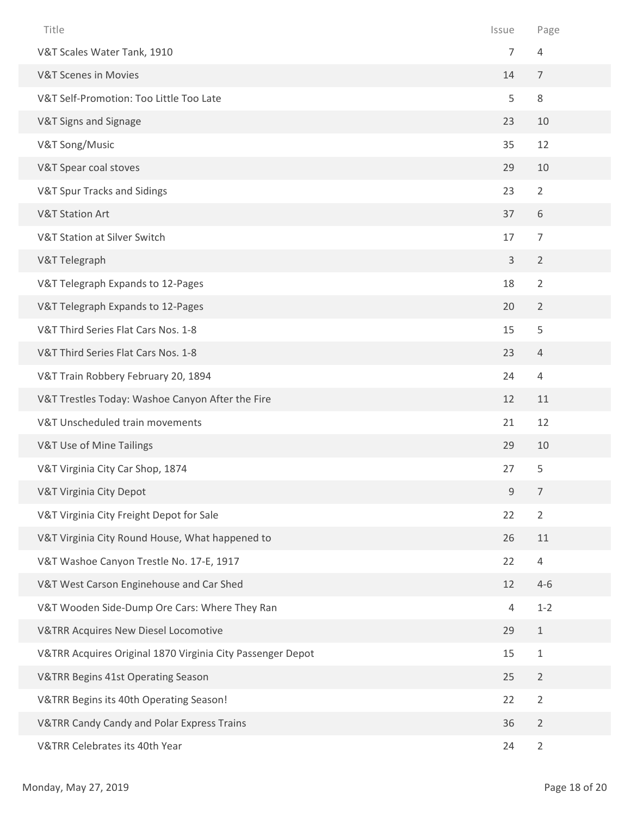| Title                                                      | Issue          | Page           |
|------------------------------------------------------------|----------------|----------------|
| V&T Scales Water Tank, 1910                                | $\overline{7}$ | $\overline{4}$ |
| <b>V&amp;T Scenes in Movies</b>                            | 14             | $\overline{7}$ |
| V&T Self-Promotion: Too Little Too Late                    | 5              | 8              |
| V&T Signs and Signage                                      | 23             | 10             |
| V&T Song/Music                                             | 35             | 12             |
| V&T Spear coal stoves                                      | 29             | 10             |
| V&T Spur Tracks and Sidings                                | 23             | $\overline{2}$ |
| <b>V&amp;T Station Art</b>                                 | 37             | 6              |
| V&T Station at Silver Switch                               | 17             | $\overline{7}$ |
| V&T Telegraph                                              | $\mathsf{3}$   | $\overline{2}$ |
| V&T Telegraph Expands to 12-Pages                          | 18             | $\overline{2}$ |
| V&T Telegraph Expands to 12-Pages                          | 20             | $\overline{2}$ |
| V&T Third Series Flat Cars Nos. 1-8                        | 15             | 5              |
| V&T Third Series Flat Cars Nos. 1-8                        | 23             | $\overline{4}$ |
| V&T Train Robbery February 20, 1894                        | 24             | $\overline{4}$ |
| V&T Trestles Today: Washoe Canyon After the Fire           | 12             | 11             |
| V&T Unscheduled train movements                            | 21             | 12             |
| V&T Use of Mine Tailings                                   | 29             | 10             |
| V&T Virginia City Car Shop, 1874                           | 27             | 5              |
| V&T Virginia City Depot                                    | $\mathsf 9$    | $\overline{7}$ |
| V&T Virginia City Freight Depot for Sale                   | 22             | $\overline{2}$ |
| V&T Virginia City Round House, What happened to            | 26             | 11             |
| V&T Washoe Canyon Trestle No. 17-E, 1917                   | 22             | $\overline{4}$ |
| V&T West Carson Enginehouse and Car Shed                   | 12             | $4 - 6$        |
| V&T Wooden Side-Dump Ore Cars: Where They Ran              | $\overline{4}$ | $1 - 2$        |
| <b>V&amp;TRR Acquires New Diesel Locomotive</b>            | 29             | $\mathbf{1}$   |
| V&TRR Acquires Original 1870 Virginia City Passenger Depot | 15             | $\mathbf{1}$   |
| V&TRR Begins 41st Operating Season                         | 25             | $\overline{2}$ |
| V&TRR Begins its 40th Operating Season!                    | 22             | $\overline{2}$ |
| V&TRR Candy Candy and Polar Express Trains                 | 36             | $\overline{2}$ |
| V&TRR Celebrates its 40th Year                             | 24             | $\overline{2}$ |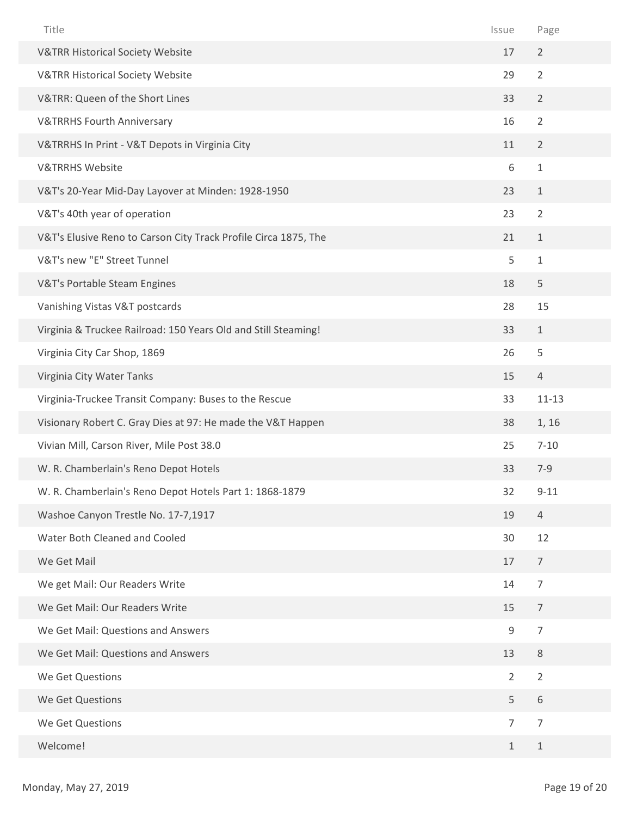| Title                                                           | Issue          | Page           |
|-----------------------------------------------------------------|----------------|----------------|
| <b>V&amp;TRR Historical Society Website</b>                     | 17             | $\overline{2}$ |
| <b>V&amp;TRR Historical Society Website</b>                     | 29             | $\overline{2}$ |
| V&TRR: Queen of the Short Lines                                 | 33             | $\overline{2}$ |
| <b>V&amp;TRRHS Fourth Anniversary</b>                           | 16             | $\overline{2}$ |
| V&TRRHS In Print - V&T Depots in Virginia City                  | 11             | $\overline{2}$ |
| <b>V&amp;TRRHS Website</b>                                      | 6              | $\mathbf{1}$   |
| V&T's 20-Year Mid-Day Layover at Minden: 1928-1950              | 23             | $\mathbf{1}$   |
| V&T's 40th year of operation                                    | 23             | $\overline{2}$ |
| V&T's Elusive Reno to Carson City Track Profile Circa 1875, The | 21             | $\mathbf{1}$   |
| V&T's new "E" Street Tunnel                                     | 5              | $\mathbf{1}$   |
| V&T's Portable Steam Engines                                    | 18             | 5              |
| Vanishing Vistas V&T postcards                                  | 28             | 15             |
| Virginia & Truckee Railroad: 150 Years Old and Still Steaming!  | 33             | $\mathbf{1}$   |
| Virginia City Car Shop, 1869                                    | 26             | 5              |
| Virginia City Water Tanks                                       | 15             | $\overline{4}$ |
| Virginia-Truckee Transit Company: Buses to the Rescue           | 33             | $11 - 13$      |
| Visionary Robert C. Gray Dies at 97: He made the V&T Happen     | 38             | 1, 16          |
| Vivian Mill, Carson River, Mile Post 38.0                       | 25             | $7 - 10$       |
| W. R. Chamberlain's Reno Depot Hotels                           | 33             | $7 - 9$        |
| W. R. Chamberlain's Reno Depot Hotels Part 1: 1868-1879         | 32             | $9 - 11$       |
| Washoe Canyon Trestle No. 17-7,1917                             | 19             | $\overline{4}$ |
| Water Both Cleaned and Cooled                                   | 30             | 12             |
| We Get Mail                                                     | 17             | $\overline{7}$ |
| We get Mail: Our Readers Write                                  | 14             | $\overline{7}$ |
| We Get Mail: Our Readers Write                                  | 15             | $\overline{7}$ |
| We Get Mail: Questions and Answers                              | $\mathsf 9$    | $\overline{7}$ |
| We Get Mail: Questions and Answers                              | 13             | 8              |
| We Get Questions                                                | $\overline{2}$ | $\overline{2}$ |
| We Get Questions                                                | 5              | 6              |
| We Get Questions                                                | $\overline{7}$ | $\overline{7}$ |
|                                                                 |                |                |